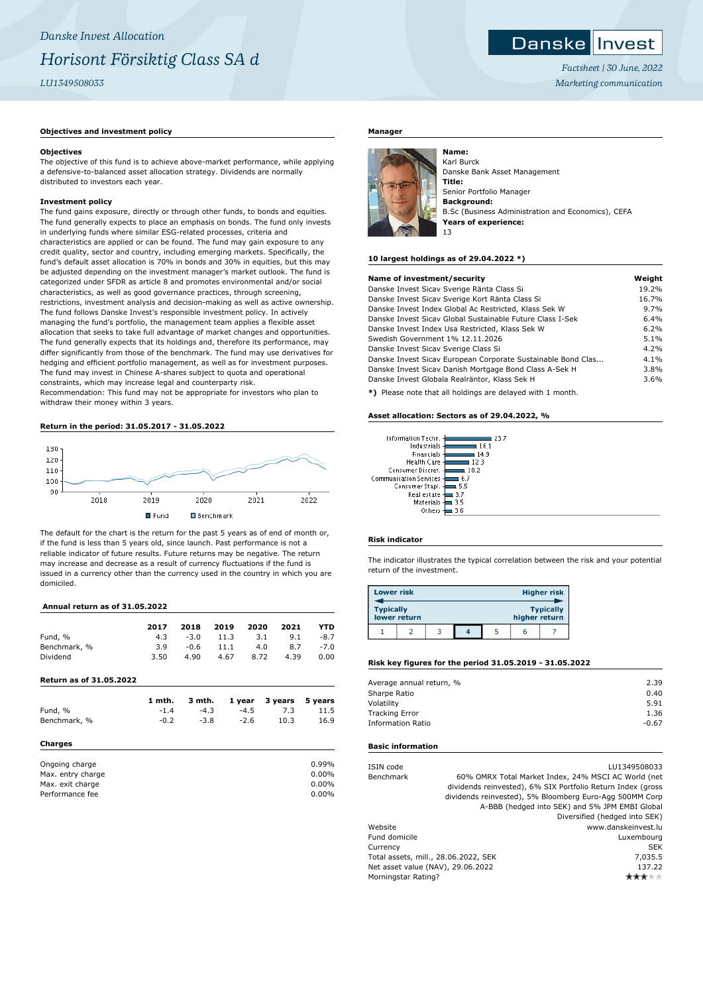# **Danske Invest**

*Factsheet | 30 June, 2022 Marketing communication*

# **Objectives and investment policy**

# **Objectives**

The objective of this fund is to achieve above-market performance, while applying a defensive-to-balanced asset allocation strategy. Dividends are normally distributed to investors each year.

# **Investment policy**

The fund gains exposure, directly or through other funds, to bonds and equities. The fund generally expects to place an emphasis on bonds. The fund only invests in underlying funds where similar ESG-related processes, criteria and characteristics are applied or can be found. The fund may gain exposure to any credit quality, sector and country, including emerging markets. Specifically, the fund's default asset allocation is 70% in bonds and 30% in equities, but this may be adjusted depending on the investment manager's market outlook. The fund is categorized under SFDR as article 8 and promotes environmental and/or social characteristics, as well as good governance practices, through screening, restrictions, investment analysis and decision-making as well as active ownership. The fund follows Danske Invest's responsible investment policy. In actively managing the fund's portfolio, the management team applies a flexible asset allocation that seeks to take full advantage of market changes and opportunities. The fund generally expects that its holdings and, therefore its performance, may differ significantly from those of the benchmark. The fund may use derivatives for hedging and efficient portfolio management, as well as for investment purposes. The fund may invest in Chinese A-shares subject to quota and operational constraints, which may increase legal and counterparty risk.

Recommendation: This fund may not be appropriate for investors who plan to withdraw their money within 3 years.

# **Return in the period: 31.05.2017 - 31.05.2022**



The default for the chart is the return for the past 5 years as of end of month or, if the fund is less than 5 years old, since launch. Past performance is not a reliable indicator of future results. Future returns may be negative. The return may increase and decrease as a result of currency fluctuations if the fund is issued in a currency other than the currency used in the country in which you are domiciled.

# **Annual return as of 31.05.2022**

|                         | 2017   | 2018   | 2019 | 2020   | 2021       | YTD      |
|-------------------------|--------|--------|------|--------|------------|----------|
| Fund, %                 | 4.3    | $-3.0$ | 11.3 |        | 3.1<br>9.1 | -8.7     |
| Benchmark, %            | 3.9    | $-0.6$ | 11.1 |        | 4.0<br>8.7 | $-7.0$   |
| Dividend                | 3.50   | 4.90   | 4.67 | 8.72   | 4.39       | 0.00     |
| Return as of 31.05.2022 |        |        |      |        |            |          |
|                         | 1 mth. | 3 mth. |      | 1 year | 3 years    | 5 years  |
| Fund, %                 | $-1.4$ | $-4.3$ |      | $-4.5$ | 7.3        | 11.5     |
| Benchmark, %            | $-0.2$ | $-3.8$ |      | $-2.6$ | 10.3       | 16.9     |
| Charges                 |        |        |      |        |            |          |
| Ongoing charge          |        |        |      |        |            | 0.99%    |
| Max. entry charge       |        |        |      |        |            | $0.00\%$ |
| Max. exit charge        |        |        |      |        |            | $0.00\%$ |
| Performance fee         |        |        |      |        |            | 0.00%    |

## **Manager**



Karl Burck Danske Bank Asset Management **Title:** Senior Portfolio Manager **Background:** B.Sc (Business Administration and Economics), CEFA **Years of experience:** 13

#### **10 largest holdings as of 29.04.2022 \*)**

| Name of investment/security                                  | Weight |
|--------------------------------------------------------------|--------|
| Danske Invest Sicav Sverige Ränta Class Si                   | 19.2%  |
| Danske Invest Sicav Sverige Kort Ränta Class Si              | 16.7%  |
| Danske Invest Index Global Ac Restricted, Klass Sek W        | 9.7%   |
| Danske Invest Sicay Global Sustainable Future Class I-Sek    | 6.4%   |
| Danske Invest Index Usa Restricted, Klass Sek W              | 6.2%   |
| Swedish Government 1% 12.11.2026                             | 5.1%   |
| Danske Invest Sicav Sverige Class Si                         | 4.2%   |
| Danske Invest Sicav European Corporate Sustainable Bond Clas | 4.1%   |
| Danske Invest Sicav Danish Mortgage Bond Class A-Sek H       | 3.8%   |
| Danske Invest Globala Realräntor, Klass Sek H                | 3.6%   |
|                                                              |        |

**\*)** Please note that all holdings are delayed with 1 month.

#### **Asset allocation: Sectors as of 29.04.2022, %**

| Information Techn.            |      |
|-------------------------------|------|
| Industrials                   | 161  |
| Financials                    | 14.9 |
| <b>Health Care</b>            | 123  |
| Consumer Discret.             | 10.2 |
| <b>Communication Services</b> | 6.7  |
| Consumer Stapl.               | 5.5  |
| Real estate                   | 3.7  |
| Materials                     | 35   |
| Others                        |      |
|                               |      |

### **Risk indicator**

The indicator illustrates the typical correlation between the risk and your potential return of the investment.

| <b>Lower risk</b> |              |  |               | <b>Higher risk</b> |
|-------------------|--------------|--|---------------|--------------------|
| <b>Typically</b>  | lower return |  | higher return | <b>Typically</b>   |
|                   |              |  |               |                    |

#### **Risk key figures for the period 31.05.2019 - 31.05.2022**

| Average annual return, % | 2.39    |
|--------------------------|---------|
| Sharpe Ratio             | 0.40    |
| Volatility               | 5.91    |
| <b>Tracking Error</b>    | 1.36    |
| <b>Information Ratio</b> | $-0.67$ |
|                          |         |

#### **Basic information**

| ISIN code                            |  | LU1349508033                                                |
|--------------------------------------|--|-------------------------------------------------------------|
| Benchmark                            |  | 60% OMRX Total Market Index, 24% MSCI AC World (net         |
|                                      |  | dividends reinvested), 6% SIX Portfolio Return Index (gross |
|                                      |  | dividends reinvested), 5% Bloomberg Euro-Agg 500MM Corp     |
|                                      |  | A-BBB (hedged into SEK) and 5% JPM EMBI Global              |
|                                      |  | Diversified (hedged into SEK)                               |
| Website                              |  | www.danskeinvest.lu                                         |
| Fund domicile                        |  | Luxembourg                                                  |
| Currency                             |  | <b>SEK</b>                                                  |
| Total assets, mill., 28.06.2022, SEK |  | 7,035.5                                                     |
| Net asset value (NAV), 29.06.2022    |  | 137.22                                                      |
| Morningstar Rating?                  |  |                                                             |